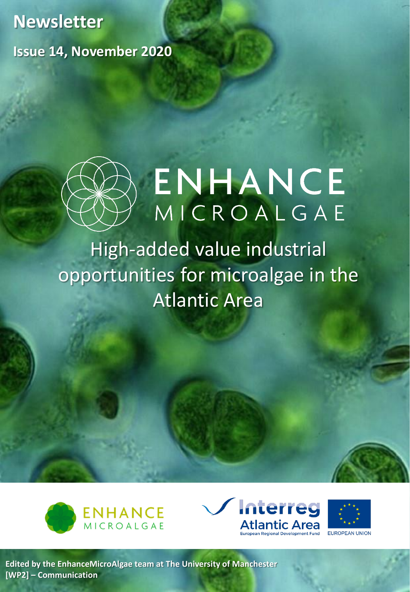**Newsletter Issue 14, November 2020** 



# ENHANCE MICROALGAE

## High-added value industrial opportunities for microalgae in the Atlantic Area







**[Edited by the EnhanceMicroAlgae team at The University of Manchester](https://www.enhancemicroalgae.eu/partners-microalgae/university-of-manchester/) [WP2] – Communication**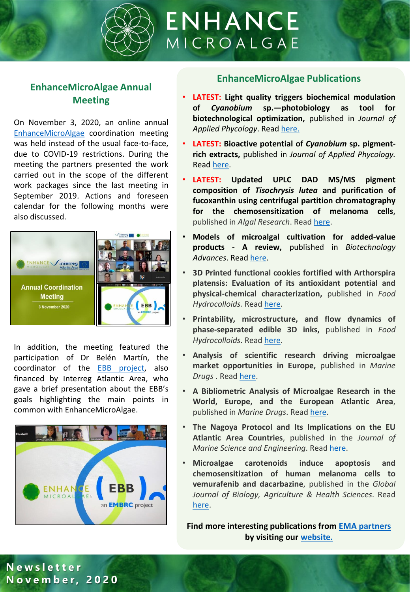

#### **EnhanceMicroAlgae Annual Meeting**

On November 3, 2020, an online annual [EnhanceMicroAlgae](https://www.enhancemicroalgae.eu/) coordination meeting was held instead of the usual face-to-face, due to COVID-19 restrictions. During the meeting the partners presented the work carried out in the scope of the different work packages since the last meeting in September 2019. Actions and foreseen calendar for the following months were also discussed.



In addition, the meeting featured the participation of Dr Belén Martín, the coordinator of the EBB [project](https://www.bluebiobank.eu/project/), also financed by Interreg Atlantic Area, who gave a brief presentation about the EBB's goals highlighting the main points in common with EnhanceMicroAlgae.



#### **EnhanceMicroAlgae Publications**

- **LATEST: Light quality triggers biochemical modulation of** *Cyanobium* **sp.—photobiology as tool for biotechnological optimization,** published in *Journal of Applied Phycology*. Read [here.](https://link-springer-com.manchester.idm.oclc.org/article/10.1007/s10811-020-02179-0)
- **LATEST: Bioactive potential of** *Cyanobium* **sp. pigmentrich extracts,** published in *Journal of Applied Phycology.* Read [here.](https://link-springer-com.manchester.idm.oclc.org/article/10.1007/s10811-020-02213-1)
- **LATEST: Updated UPLC DAD MS/MS pigment composition of** *Tisochrysis lutea* **and purification of fucoxanthin using centrifugal partition chromatography for the chemosensitization of melanoma cells,** published in *Algal Research*. Read [here](https://www.sciencedirect.com/science/article/pii/S2211926420303787).
- **Models of microalgal cultivation for added-value products - A review,** published in *Biotechnology Advances*. Read [here](https://www-sciencedirect-com.manchester.idm.oclc.org/science/article/pii/S0734975020301117).
- **3D Printed functional cookies fortified with Arthorspira platensis: Evaluation of its antioxidant potential and physical-chemical characterization,** published in *Food Hydrocolloids.* Read [here.](https://www.sciencedirect.com/science/article/pii/S0268005X19323045)
- **Printability, microstructure, and flow dynamics of phase-separated edible 3D inks,** published in *Food Hydrocolloids*. Read [here.](https://www.sciencedirect.com/science/article/pii/S0268005X20308894)
- **Analysis of scientific research driving microalgae market opportunities in Europe,** published in *Marine Drugs* . Read [here](https://www.enhancemicroalgae.eu/2020/05/19/new-publication-published-in-marine-drugs-analysis-of-scientific-research-driving-microalgae-market-opportunities-in-europe/).
- **A Bibliometric Analysis of Microalgae Research in the World, Europe, and the European Atlantic Area**, published in *Marine Drugs*. Read [here](https://www.enhancemicroalgae.eu/2020/02/03/a-bibliometric-analysis-of-microalgae-research-in-the-world-europe-and-the-european-atlantic-area-published-in-marine-drugs/).
- **The Nagoya Protocol and Its Implications on the EU Atlantic Area Countries**, published in the *Journal of Marine Science and Engineering*. Read [here.](https://www.enhancemicroalgae.eu/2020/02/25/the-nagoya-protocol-and-its-implications-on-the-eu-atlantic-area-countries/)
- **Microalgae carotenoids induce apoptosis and chemosensitization of human melanoma cells to vemurafenib and dacarbazine**, published in the *Global Journal of Biology, Agriculture & Health Sciences*. Read [here.](https://www.enhancemicroalgae.eu/2020/01/29/microalgae-carotenoids-induce-apoptosis-and-chemosensitization-of-human-melanoma-cells-to-vemurafenib-and-dacarbazine/)

**Find more interesting publications from [EMA partners](https://www.enhancemicroalgae.eu/partners/) by visiting our [website.](https://www.enhancemicroalgae.eu/publications/)**